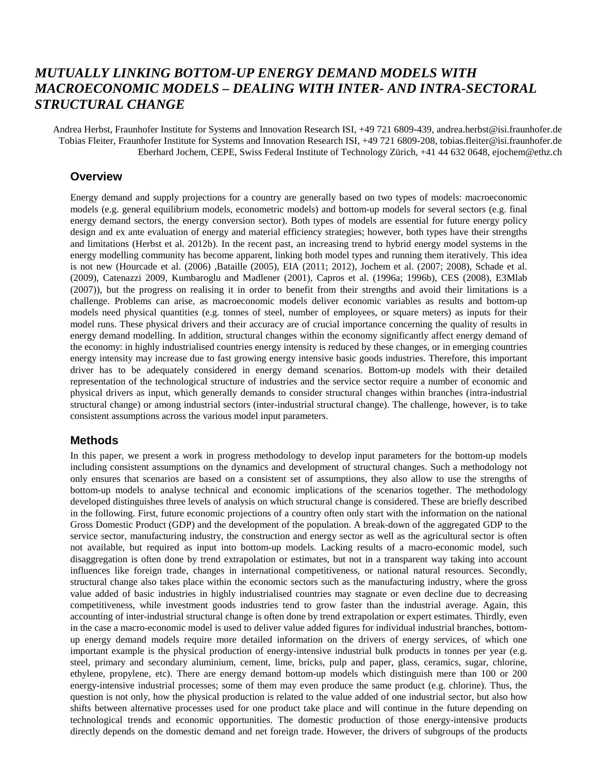# *MUTUALLY LINKING BOTTOM-UP ENERGY DEMAND MODELS WITH MACROECONOMIC MODELS – DEALING WITH INTER- AND INTRA-SECTORAL STRUCTURAL CHANGE*

Andrea Herbst, Fraunhofer Institute for Systems and Innovation Research ISI, +49 721 6809-439, andrea.herbst@isi.fraunhofer.de Tobias Fleiter, Fraunhofer Institute for Systems and Innovation Research ISI, +49 721 6809-208, tobias.fleiter@isi.fraunhofer.de Eberhard Jochem, CEPE, Swiss Federal Institute of Technology Zürich, +41 44 632 0648, [ejochem@ethz.ch](mailto:ejochem@ethz.ch)

#### **Overview**

Energy demand and supply projections for a country are generally based on two types of models: macroeconomic models (e.g. general equilibrium models, econometric models) and bottom-up models for several sectors (e.g. final energy demand sectors, the energy conversion sector). Both types of models are essential for future energy policy design and ex ante evaluation of energy and material efficiency strategies; however, both types have their strengths and limitations (Herbst et al. 2012b). In the recent past, an increasing trend to hybrid energy model systems in the energy modelling community has become apparent, linking both model types and running them iteratively. This idea is not new (Hourcade et al. (2006) ,Bataille (2005), EIA (2011; 2012), Jochem et al. (2007; 2008), Schade et al. (2009), Catenazzi 2009, Kumbaroglu and Madlener (2001), Capros et al. (1996a; 1996b), CES (2008), E3Mlab (2007)), but the progress on realising it in order to benefit from their strengths and avoid their limitations is a challenge. Problems can arise, as macroeconomic models deliver economic variables as results and bottom-up models need physical quantities (e.g. tonnes of steel, number of employees, or square meters) as inputs for their model runs. These physical drivers and their accuracy are of crucial importance concerning the quality of results in energy demand modelling. In addition, structural changes within the economy significantly affect energy demand of the economy: in highly industrialised countries energy intensity is reduced by these changes, or in emerging countries energy intensity may increase due to fast growing energy intensive basic goods industries. Therefore, this important driver has to be adequately considered in energy demand scenarios. Bottom-up models with their detailed representation of the technological structure of industries and the service sector require a number of economic and physical drivers as input, which generally demands to consider structural changes within branches (intra-industrial structural change) or among industrial sectors (inter-industrial structural change). The challenge, however, is to take consistent assumptions across the various model input parameters.

#### **Methods**

In this paper, we present a work in progress methodology to develop input parameters for the bottom-up models including consistent assumptions on the dynamics and development of structural changes. Such a methodology not only ensures that scenarios are based on a consistent set of assumptions, they also allow to use the strengths of bottom-up models to analyse technical and economic implications of the scenarios together. The methodology developed distinguishes three levels of analysis on which structural change is considered. These are briefly described in the following. First, future economic projections of a country often only start with the information on the national Gross Domestic Product (GDP) and the development of the population. A break-down of the aggregated GDP to the service sector, manufacturing industry, the construction and energy sector as well as the agricultural sector is often not available, but required as input into bottom-up models. Lacking results of a macro-economic model, such disaggregation is often done by trend extrapolation or estimates, but not in a transparent way taking into account influences like foreign trade, changes in international competitiveness, or national natural resources. Secondly, structural change also takes place within the economic sectors such as the manufacturing industry, where the gross value added of basic industries in highly industrialised countries may stagnate or even decline due to decreasing competitiveness, while investment goods industries tend to grow faster than the industrial average. Again, this accounting of inter-industrial structural change is often done by trend extrapolation or expert estimates. Thirdly, even in the case a macro-economic model is used to deliver value added figures for individual industrial branches, bottomup energy demand models require more detailed information on the drivers of energy services, of which one important example is the physical production of energy-intensive industrial bulk products in tonnes per year (e.g. steel, primary and secondary aluminium, cement, lime, bricks, pulp and paper, glass, ceramics, sugar, chlorine, ethylene, propylene, etc). There are energy demand bottom-up models which distinguish mere than 100 or 200 energy-intensive industrial processes; some of them may even produce the same product (e.g. chlorine). Thus, the question is not only, how the physical production is related to the value added of one industrial sector, but also how shifts between alternative processes used for one product take place and will continue in the future depending on technological trends and economic opportunities. The domestic production of those energy-intensive products directly depends on the domestic demand and net foreign trade. However, the drivers of subgroups of the products